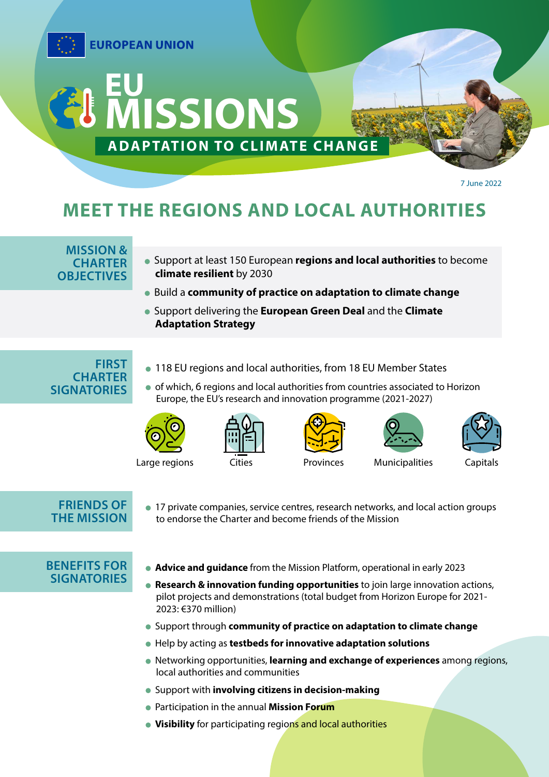

7 June 2022

# **MEET THE REGIONS AND LOCAL AUTHORITIES**

### **MISSION & CHARTER OBJECTIVES**

- Support at least 150 European **regions and local authorities** to become **climate resilient** by 2030
- Build a **community of practice on adaptation to climate change**
- Support delivering the **European Green Deal** and the **Climate Adaptation Strategy**

**FIRST CHARTER SIGNATORIES** 

- 118 EU regions and local authorities, from 18 EU Member States
- o of which, 6 regions and local authorities from countries associated to Horizon Europe, the EU's research and innovation programme (2021-2027)











Large regions Cities Provinces Municipalities Capitals







# **FRIENDS OF THE MISSION**

 17 private companies, service centres, research networks, and local action groups to endorse the Charter and become friends of the Mission

## **BENEFITS FOR SIGNATORIES**

- **Advice and guidance** from the Mission Platform, operational in early 2023
- **Research & innovation funding opportunities** to join large innovation actions, pilot projects and demonstrations (total budget from Horizon Europe for 2021- 2023: €370 million)
- Support through **community of practice on adaptation to climate change**
- Help by acting as **testbeds for innovative adaptation solutions**
- Networking opportunities, **learning and exchange of experiences** among regions, local authorities and communities
- Support with **involving citizens in decision-making**
- Participation in the annual **Mission Forum**
- **Visibility** for participating regions and local authorities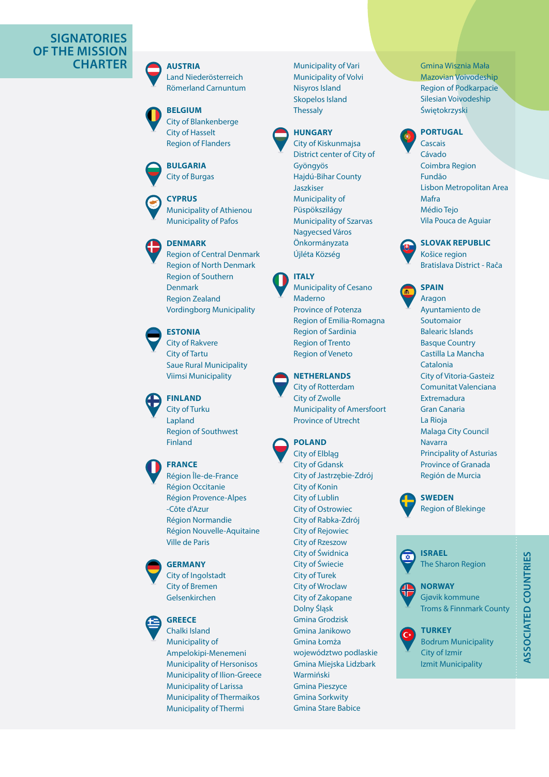## **SIGNATORIES OF THE MISSION CHARTER AUSTRIA**

Land Niederösterreich Römerland Carnuntum



City of Blankenberge City of Hasselt Region of Flanders

### **BULGARIA**

City of Burgas





Region of Central Denmark Region of North Denmark Region of Southern Denmark Region Zealand Vordingborg Municipality

#### **ESTONIA**

City of Rakvere City of Tartu Saue Rural Municipality Viimsi Municipality

#### **FINLAND**

City of Turku Lapland Region of Southwest Finland

# **FRANCE**

Région Île-de-France Région Occitanie Région Provence-Alpes -Côte d'Azur Région Normandie Région Nouvelle-Aquitaine Ville de Paris

#### **GERMANY**

City of Ingolstadt City of Bremen Gelsenkirchen

#### **GREECE** Chalki Island

Municipality of Ampelokipi-Menemeni Municipality of Hersonisos Municipality of Ilion-Greece Municipality of Larissa Municipality of Thermaikos Municipality of Thermi

Municipality of Vari Municipality of Volvi Nisyros Island Skopelos Island **Thessaly** 



City of Kiskunmajsa District center of City of Gyöngyös Hajdú-Bihar County Jaszkiser Municipality of Püspökszilágy Municipality of Szarvas Nagyecsed Város Önkormányzata Újléta Község



# Municipality of Cesano

Maderno Province of Potenza Region of Emilia-Romagna Region of Sardinia Region of Trento Region of Veneto



City of Rotterdam City of Zwolle Municipality of Amersfoort Province of Utrecht



#### City of Elbląg City of Gdansk City of Jastrzębie-Zdrój City of Konin City of Lublin City of Ostrowiec City of Rabka-Zdrój City of Rejowiec City of Rzeszow City of Świdnica City of Świecie City of Turek City of Wroclaw City of Zakopane Dolny Śląsk Gmina Grodzisk Gmina Janikowo Gmina Łomża województwo podlaskie Gmina Miejska Lidzbark Warmiński Gmina Pieszyce Gmina Sorkwity

Gmina Stare Babice

Gmina Wisznia Mała Mazovian Voivodeship Region of Podkarpacie Silesian Voivodeship Świętokrzyski



#### Cascais Cávado Coimbra Region Fundão Lisbon Metropolitan Area Mafra Médio Tejo Vila Pouca de Aguiar



**SLOVAK REPUBLIC** Košice region Bratislava District - Rača



#### Aragon Ayuntamiento de Soutomaior Balearic Islands Basque Country Castilla La Mancha Catalonia City of Vitoria-Gasteiz Comunitat Valenciana Extremadura Gran Canaria La Rioja Malaga City Council **Navarra** Principality of Asturias Province of Granada Región de Murcia

**SWEDEN**  Region of Blekinge







Gjøvik kommune Troms & Finnmark County

**TURKEY**  Bodrum Municipality City of Izmir Izmit Municipality